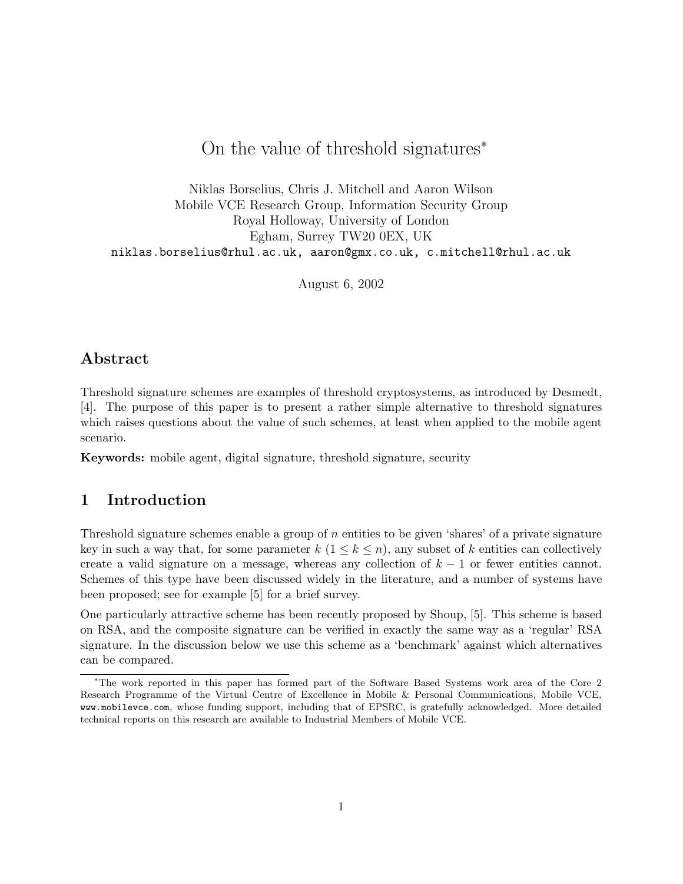# On the value of threshold signatures<sup>∗</sup>

Niklas Borselius, Chris J. Mitchell and Aaron Wilson Mobile VCE Research Group, Information Security Group Royal Holloway, University of London Egham, Surrey TW20 0EX, UK niklas.borselius@rhul.ac.uk, aaron@gmx.co.uk, c.mitchell@rhul.ac.uk

August 6, 2002

### Abstract

Threshold signature schemes are examples of threshold cryptosystems, as introduced by Desmedt, [4]. The purpose of this paper is to present a rather simple alternative to threshold signatures which raises questions about the value of such schemes, at least when applied to the mobile agent scenario.

Keywords: mobile agent, digital signature, threshold signature, security

### 1 Introduction

Threshold signature schemes enable a group of  $n$  entities to be given 'shares' of a private signature key in such a way that, for some parameter k  $(1 \leq k \leq n)$ , any subset of k entities can collectively create a valid signature on a message, whereas any collection of  $k - 1$  or fewer entities cannot. Schemes of this type have been discussed widely in the literature, and a number of systems have been proposed; see for example [5] for a brief survey.

One particularly attractive scheme has been recently proposed by Shoup, [5]. This scheme is based on RSA, and the composite signature can be verified in exactly the same way as a 'regular' RSA signature. In the discussion below we use this scheme as a 'benchmark' against which alternatives can be compared.

<sup>∗</sup>The work reported in this paper has formed part of the Software Based Systems work area of the Core 2 Research Programme of the Virtual Centre of Excellence in Mobile & Personal Communications, Mobile VCE, www.mobilevce.com, whose funding support, including that of EPSRC, is gratefully acknowledged. More detailed technical reports on this research are available to Industrial Members of Mobile VCE.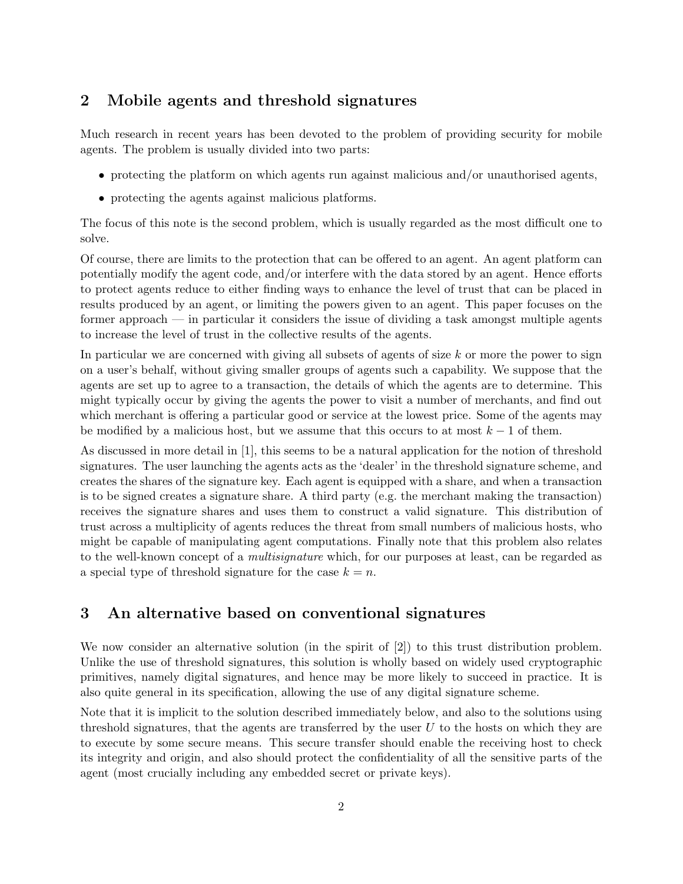### 2 Mobile agents and threshold signatures

Much research in recent years has been devoted to the problem of providing security for mobile agents. The problem is usually divided into two parts:

- protecting the platform on which agents run against malicious and/or unauthorised agents,
- protecting the agents against malicious platforms.

The focus of this note is the second problem, which is usually regarded as the most difficult one to solve.

Of course, there are limits to the protection that can be offered to an agent. An agent platform can potentially modify the agent code, and/or interfere with the data stored by an agent. Hence efforts to protect agents reduce to either finding ways to enhance the level of trust that can be placed in results produced by an agent, or limiting the powers given to an agent. This paper focuses on the former approach — in particular it considers the issue of dividing a task amongst multiple agents to increase the level of trust in the collective results of the agents.

In particular we are concerned with giving all subsets of agents of size  $k$  or more the power to sign on a user's behalf, without giving smaller groups of agents such a capability. We suppose that the agents are set up to agree to a transaction, the details of which the agents are to determine. This might typically occur by giving the agents the power to visit a number of merchants, and find out which merchant is offering a particular good or service at the lowest price. Some of the agents may be modified by a malicious host, but we assume that this occurs to at most  $k - 1$  of them.

As discussed in more detail in [1], this seems to be a natural application for the notion of threshold signatures. The user launching the agents acts as the 'dealer' in the threshold signature scheme, and creates the shares of the signature key. Each agent is equipped with a share, and when a transaction is to be signed creates a signature share. A third party (e.g. the merchant making the transaction) receives the signature shares and uses them to construct a valid signature. This distribution of trust across a multiplicity of agents reduces the threat from small numbers of malicious hosts, who might be capable of manipulating agent computations. Finally note that this problem also relates to the well-known concept of a multisignature which, for our purposes at least, can be regarded as a special type of threshold signature for the case  $k = n$ .

### 3 An alternative based on conventional signatures

We now consider an alternative solution (in the spirit of [2]) to this trust distribution problem. Unlike the use of threshold signatures, this solution is wholly based on widely used cryptographic primitives, namely digital signatures, and hence may be more likely to succeed in practice. It is also quite general in its specification, allowing the use of any digital signature scheme.

Note that it is implicit to the solution described immediately below, and also to the solutions using threshold signatures, that the agents are transferred by the user  $U$  to the hosts on which they are to execute by some secure means. This secure transfer should enable the receiving host to check its integrity and origin, and also should protect the confidentiality of all the sensitive parts of the agent (most crucially including any embedded secret or private keys).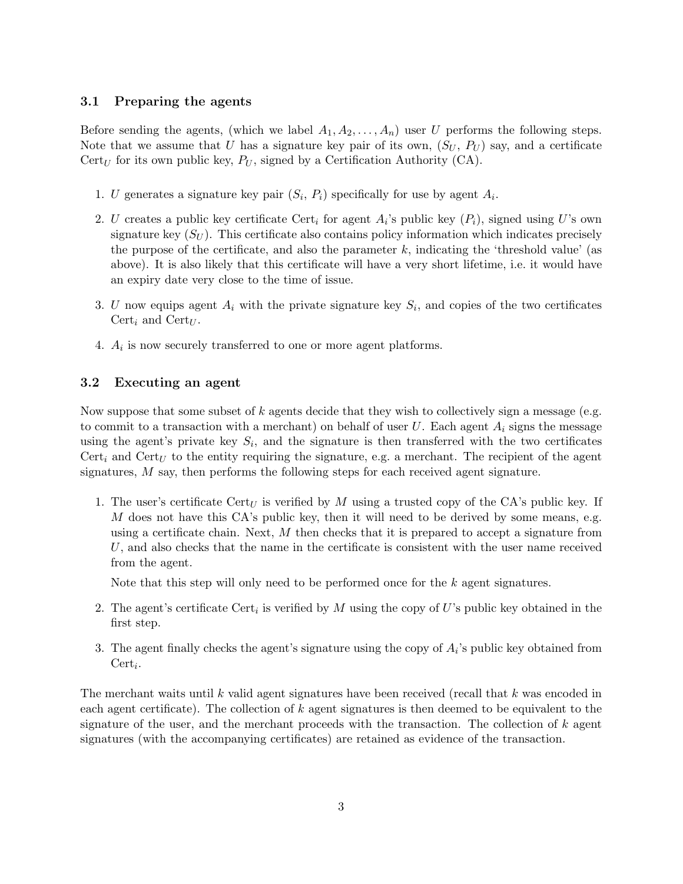#### 3.1 Preparing the agents

Before sending the agents, (which we label  $A_1, A_2, \ldots, A_n$ ) user U performs the following steps. Note that we assume that U has a signature key pair of its own,  $(S_U, P_U)$  say, and a certificate Cert<sub>U</sub> for its own public key,  $P_U$ , signed by a Certification Authority (CA).

- 1. U generates a signature key pair  $(S_i, P_i)$  specifically for use by agent  $A_i$ .
- 2. U creates a public key certificate Cert<sub>i</sub> for agent  $A_i$ 's public key  $(P_i)$ , signed using U's own signature key  $(S_U)$ . This certificate also contains policy information which indicates precisely the purpose of the certificate, and also the parameter  $k$ , indicating the 'threshold value' (as above). It is also likely that this certificate will have a very short lifetime, i.e. it would have an expiry date very close to the time of issue.
- 3. U now equips agent  $A_i$  with the private signature key  $S_i$ , and copies of the two certificates  $Cert_i$  and  $Cert_{U}$ .
- 4.  $A_i$  is now securely transferred to one or more agent platforms.

#### 3.2 Executing an agent

Now suppose that some subset of  $k$  agents decide that they wish to collectively sign a message (e.g. to commit to a transaction with a merchant) on behalf of user U. Each agent  $A_i$  signs the message using the agent's private key  $S_i$ , and the signature is then transferred with the two certificates Cert<sub>i</sub> and Cert<sub>U</sub> to the entity requiring the signature, e.g. a merchant. The recipient of the agent signatures, M say, then performs the following steps for each received agent signature.

1. The user's certificate Cert<sub>U</sub> is verified by M using a trusted copy of the CA's public key. If M does not have this  $CA$ 's public key, then it will need to be derived by some means, e.g. using a certificate chain. Next,  $M$  then checks that it is prepared to accept a signature from U, and also checks that the name in the certificate is consistent with the user name received from the agent.

Note that this step will only need to be performed once for the k agent signatures.

- 2. The agent's certificate Cert<sub>i</sub> is verified by M using the copy of U's public key obtained in the first step.
- 3. The agent finally checks the agent's signature using the copy of  $A_i$ 's public key obtained from  $Cert_i.$

The merchant waits until  $k$  valid agent signatures have been received (recall that  $k$  was encoded in each agent certificate). The collection of  $k$  agent signatures is then deemed to be equivalent to the signature of the user, and the merchant proceeds with the transaction. The collection of  $k$  agent signatures (with the accompanying certificates) are retained as evidence of the transaction.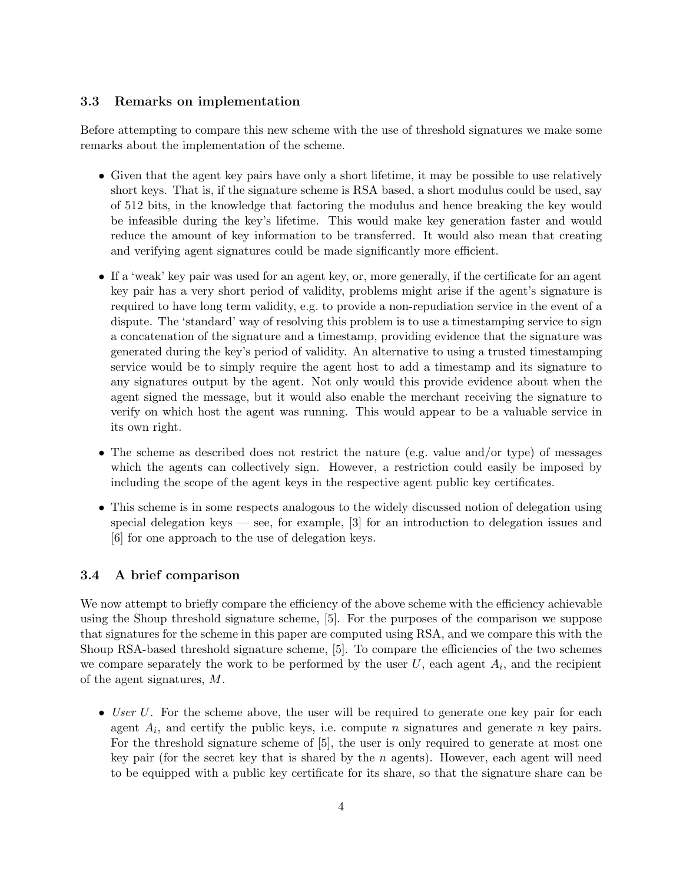### 3.3 Remarks on implementation

Before attempting to compare this new scheme with the use of threshold signatures we make some remarks about the implementation of the scheme.

- Given that the agent key pairs have only a short lifetime, it may be possible to use relatively short keys. That is, if the signature scheme is RSA based, a short modulus could be used, say of 512 bits, in the knowledge that factoring the modulus and hence breaking the key would be infeasible during the key's lifetime. This would make key generation faster and would reduce the amount of key information to be transferred. It would also mean that creating and verifying agent signatures could be made significantly more efficient.
- If a 'weak' key pair was used for an agent key, or, more generally, if the certificate for an agent key pair has a very short period of validity, problems might arise if the agent's signature is required to have long term validity, e.g. to provide a non-repudiation service in the event of a dispute. The 'standard' way of resolving this problem is to use a timestamping service to sign a concatenation of the signature and a timestamp, providing evidence that the signature was generated during the key's period of validity. An alternative to using a trusted timestamping service would be to simply require the agent host to add a timestamp and its signature to any signatures output by the agent. Not only would this provide evidence about when the agent signed the message, but it would also enable the merchant receiving the signature to verify on which host the agent was running. This would appear to be a valuable service in its own right.
- The scheme as described does not restrict the nature (e.g. value and/or type) of messages which the agents can collectively sign. However, a restriction could easily be imposed by including the scope of the agent keys in the respective agent public key certificates.
- This scheme is in some respects analogous to the widely discussed notion of delegation using special delegation keys — see, for example, [3] for an introduction to delegation issues and [6] for one approach to the use of delegation keys.

### 3.4 A brief comparison

We now attempt to briefly compare the efficiency of the above scheme with the efficiency achievable using the Shoup threshold signature scheme, [5]. For the purposes of the comparison we suppose that signatures for the scheme in this paper are computed using RSA, and we compare this with the Shoup RSA-based threshold signature scheme, [5]. To compare the efficiencies of the two schemes we compare separately the work to be performed by the user  $U$ , each agent  $A_i$ , and the recipient of the agent signatures, M.

• User  $U$ . For the scheme above, the user will be required to generate one key pair for each agent  $A_i$ , and certify the public keys, i.e. compute n signatures and generate n key pairs. For the threshold signature scheme of [5], the user is only required to generate at most one key pair (for the secret key that is shared by the  $n$  agents). However, each agent will need to be equipped with a public key certificate for its share, so that the signature share can be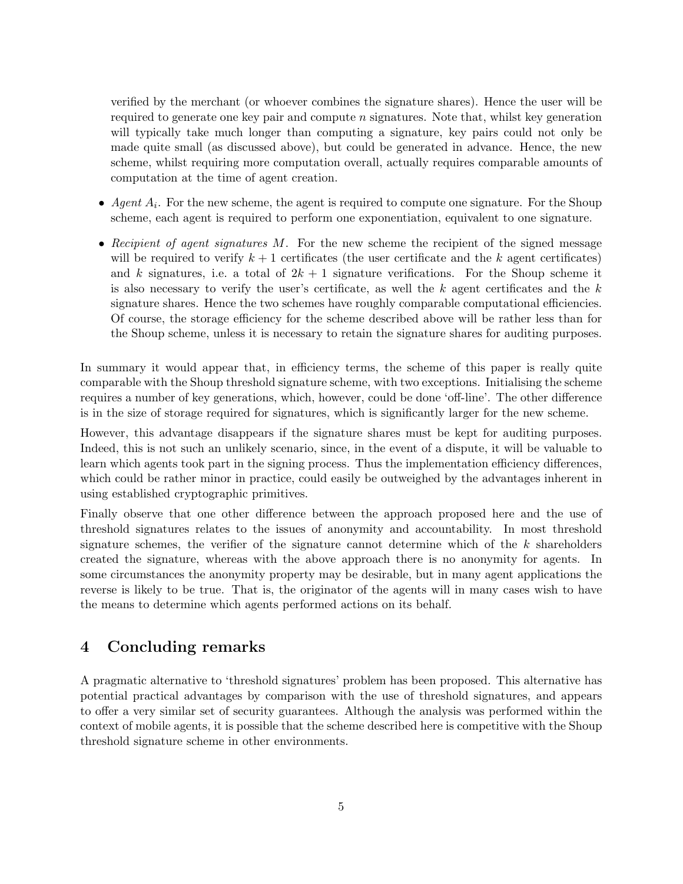verified by the merchant (or whoever combines the signature shares). Hence the user will be required to generate one key pair and compute  $n$  signatures. Note that, whilst key generation will typically take much longer than computing a signature, key pairs could not only be made quite small (as discussed above), but could be generated in advance. Hence, the new scheme, whilst requiring more computation overall, actually requires comparable amounts of computation at the time of agent creation.

- Agent  $A_i$ . For the new scheme, the agent is required to compute one signature. For the Shoup scheme, each agent is required to perform one exponentiation, equivalent to one signature.
- Recipient of agent signatures  $M$ . For the new scheme the recipient of the signed message will be required to verify  $k+1$  certificates (the user certificate and the k agent certificates) and k signatures, i.e. a total of  $2k + 1$  signature verifications. For the Shoup scheme it is also necessary to verify the user's certificate, as well the  $k$  agent certificates and the  $k$ signature shares. Hence the two schemes have roughly comparable computational efficiencies. Of course, the storage efficiency for the scheme described above will be rather less than for the Shoup scheme, unless it is necessary to retain the signature shares for auditing purposes.

In summary it would appear that, in efficiency terms, the scheme of this paper is really quite comparable with the Shoup threshold signature scheme, with two exceptions. Initialising the scheme requires a number of key generations, which, however, could be done 'off-line'. The other difference is in the size of storage required for signatures, which is significantly larger for the new scheme.

However, this advantage disappears if the signature shares must be kept for auditing purposes. Indeed, this is not such an unlikely scenario, since, in the event of a dispute, it will be valuable to learn which agents took part in the signing process. Thus the implementation efficiency differences, which could be rather minor in practice, could easily be outweighed by the advantages inherent in using established cryptographic primitives.

Finally observe that one other difference between the approach proposed here and the use of threshold signatures relates to the issues of anonymity and accountability. In most threshold signature schemes, the verifier of the signature cannot determine which of the  $k$  shareholders created the signature, whereas with the above approach there is no anonymity for agents. In some circumstances the anonymity property may be desirable, but in many agent applications the reverse is likely to be true. That is, the originator of the agents will in many cases wish to have the means to determine which agents performed actions on its behalf.

# 4 Concluding remarks

A pragmatic alternative to 'threshold signatures' problem has been proposed. This alternative has potential practical advantages by comparison with the use of threshold signatures, and appears to offer a very similar set of security guarantees. Although the analysis was performed within the context of mobile agents, it is possible that the scheme described here is competitive with the Shoup threshold signature scheme in other environments.